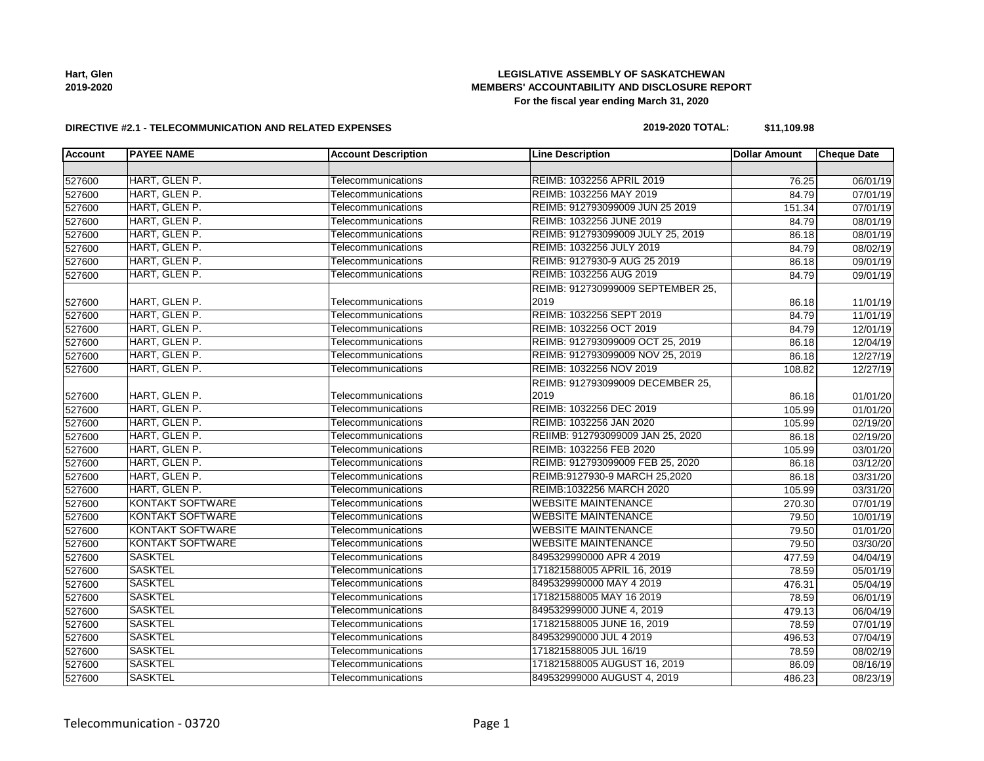# **LEGISLATIVE ASSEMBLY OF SASKATCHEWAN MEMBERS' ACCOUNTABILITY AND DISCLOSURE REPORT For the fiscal year ending March 31, 2020**

#### **DIRECTIVE #2.1 - TELECOMMUNICATION AND RELATED EXPENSES**

# **2019-2020 TOTAL: \$11,109.98**

| <b>Account</b> | <b>PAYEE NAME</b>                 | <b>Account Description</b> | <b>Line Description</b>           | <b>Dollar Amount</b> | <b>Cheque Date</b>    |
|----------------|-----------------------------------|----------------------------|-----------------------------------|----------------------|-----------------------|
|                |                                   |                            |                                   |                      |                       |
| 527600         | HART, GLEN P.                     | Telecommunications         | REIMB: 1032256 APRIL 2019         | 76.25                | 06/01/19              |
| 527600         | HART, GLEN P.                     | Telecommunications         | REIMB: 1032256 MAY 2019           | 84.79                | $\overline{07/01/19}$ |
| 527600         | HART, GLEN P.                     | Telecommunications         | REIMB: 912793099009 JUN 25 2019   | 151.34               | 07/01/19              |
| 527600         | HART, GLEN P.                     | Telecommunications         | REIMB: 1032256 JUNE 2019          | 84.79                | 08/01/19              |
| 527600         | HART, GLEN P.                     | Telecommunications         | REIMB: 912793099009 JULY 25, 2019 | 86.18                | 08/01/19              |
| 527600         | HART, GLEN P.                     | Telecommunications         | REIMB: 1032256 JULY 2019          | 84.79                | 08/02/19              |
| 527600         | HART, GLEN P.                     | Telecommunications         | REIMB: 9127930-9 AUG 25 2019      | 86.18                | 09/01/19              |
| 527600         | HART, GLEN P.                     | Telecommunications         | REIMB: 1032256 AUG 2019           | 84.79                | 09/01/19              |
|                | REIMB: 912730999009 SEPTEMBER 25, |                            |                                   |                      |                       |
| 527600         | HART, GLEN P.                     | Telecommunications         | 2019                              | 86.18                | 11/01/19              |
| 527600         | HART, GLEN P.                     | Telecommunications         | REIMB: 1032256 SEPT 2019          | 84.79                | 11/01/19              |
| 527600         | HART, GLEN P.                     | Telecommunications         | REIMB: 1032256 OCT 2019           | 84.79                | 12/01/19              |
| 527600         | HART, GLEN P.                     | Telecommunications         | REIMB: 912793099009 OCT 25, 2019  | 86.18                | 12/04/19              |
| 527600         | HART, GLEN P.                     | Telecommunications         | REIMB: 912793099009 NOV 25, 2019  | 86.18                | 12/27/19              |
| 527600         | HART, GLEN P.                     | Telecommunications         | REIMB: 1032256 NOV 2019           | 108.82               | 12/27/19              |
|                |                                   |                            | REIMB: 912793099009 DECEMBER 25,  |                      |                       |
| 527600         | HART, GLEN P.                     | Telecommunications         | 2019                              | 86.18                | 01/01/20              |
| 527600         | HART, GLEN P.                     | Telecommunications         | REIMB: 1032256 DEC 2019           | 105.99               | 01/01/20              |
| 527600         | HART, GLEN P.                     | Telecommunications         | REIMB: 1032256 JAN 2020           | 105.99               | 02/19/20              |
| 527600         | HART, GLEN P.                     | Telecommunications         | REIIMB: 912793099009 JAN 25, 2020 | 86.18                | 02/19/20              |
| 527600         | HART, GLEN P.                     | Telecommunications         | REIMB: 1032256 FEB 2020           | 105.99               | 03/01/20              |
| 527600         | HART, GLEN P.                     | Telecommunications         | REIMB: 912793099009 FEB 25, 2020  | 86.18                | 03/12/20              |
| 527600         | HART, GLEN P.                     | Telecommunications         | REIMB:9127930-9 MARCH 25,2020     | 86.18                | 03/31/20              |
| 527600         | HART, GLEN P.                     | Telecommunications         | REIMB:1032256 MARCH 2020          | 105.99               | 03/31/20              |
| 527600         | <b>KONTAKT SOFTWARE</b>           | Telecommunications         | <b>WEBSITE MAINTENANCE</b>        | 270.30               | 07/01/19              |
| 527600         | <b>KONTAKT SOFTWARE</b>           | Telecommunications         | <b>WEBSITE MAINTENANCE</b>        | 79.50                | 10/01/19              |
| 527600         | <b>KONTAKT SOFTWARE</b>           | Telecommunications         | <b>WEBSITE MAINTENANCE</b>        | 79.50                | 01/01/20              |
| 527600         | <b>KONTAKT SOFTWARE</b>           | Telecommunications         | <b>WEBSITE MAINTENANCE</b>        | 79.50                | 03/30/20              |
| 527600         | <b>SASKTEL</b>                    | Telecommunications         | 8495329990000 APR 4 2019          | 477.59               | 04/04/19              |
| 527600         | <b>SASKTEL</b>                    | Telecommunications         | 171821588005 APRIL 16, 2019       | 78.59                | 05/01/19              |
| 527600         | <b>SASKTEL</b>                    | Telecommunications         | 8495329990000 MAY 4 2019          | 476.31               | 05/04/19              |
| 527600         | <b>SASKTEL</b>                    | Telecommunications         | 171821588005 MAY 16 2019          | 78.59                | 06/01/19              |
| 527600         | <b>SASKTEL</b>                    | Telecommunications         | 849532999000 JUNE 4, 2019         | 479.13               | 06/04/19              |
| 527600         | <b>SASKTEL</b>                    | Telecommunications         | 171821588005 JUNE 16, 2019        | 78.59                | 07/01/19              |
| 527600         | <b>SASKTEL</b>                    | Telecommunications         | 849532990000 JUL 4 2019           | 496.53               | 07/04/19              |
| 527600         | <b>SASKTEL</b>                    | Telecommunications         | 171821588005 JUL 16/19            | 78.59                | 08/02/19              |
| 527600         | <b>SASKTEL</b>                    | Telecommunications         | 171821588005 AUGUST 16, 2019      | 86.09                | 08/16/19              |
| 527600         | <b>SASKTEL</b>                    | Telecommunications         | 849532999000 AUGUST 4, 2019       | 486.23               | 08/23/19              |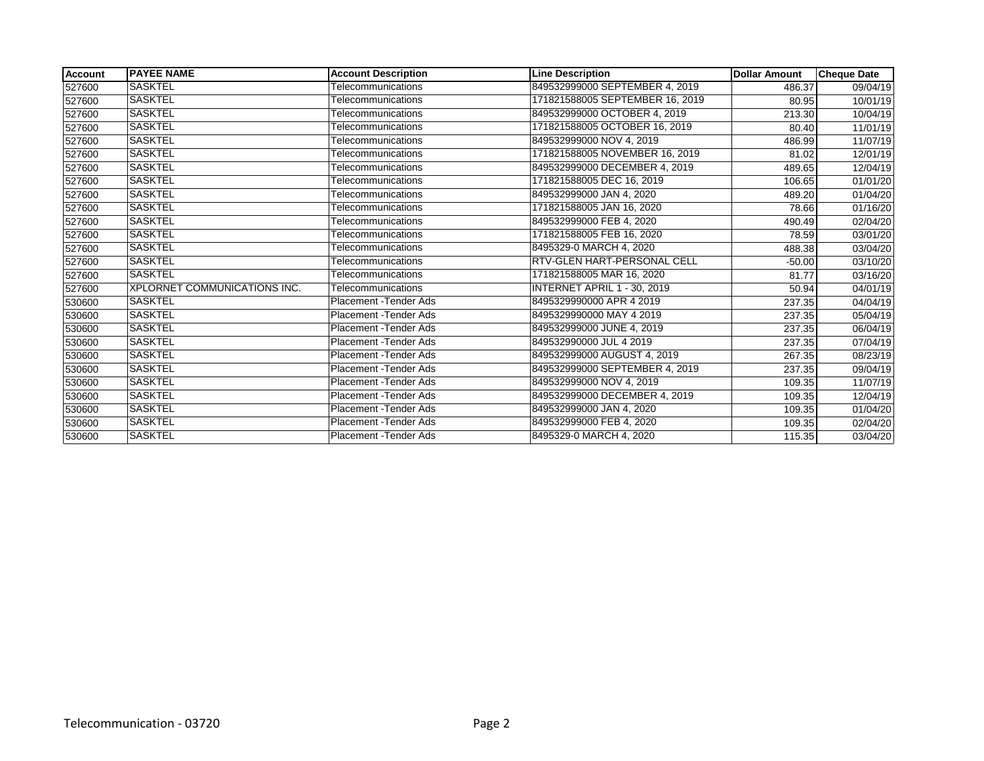| <b>Account</b> | <b>PAYEE NAME</b>            | <b>Account Description</b>    | <b>Line Description</b>            | <b>Dollar Amount</b> | <b>Cheque Date</b> |
|----------------|------------------------------|-------------------------------|------------------------------------|----------------------|--------------------|
| 527600         | <b>SASKTEL</b>               | Telecommunications            | 849532999000 SEPTEMBER 4, 2019     | 486.37               | 09/04/19           |
| 527600         | <b>SASKTEL</b>               | Telecommunications            | 171821588005 SEPTEMBER 16, 2019    | 80.95                | 10/01/19           |
| 527600         | <b>SASKTEL</b>               | Telecommunications            | 849532999000 OCTOBER 4, 2019       | 213.30               | 10/04/19           |
| 527600         | <b>SASKTEL</b>               | Telecommunications            | 171821588005 OCTOBER 16, 2019      | 80.40                | 11/01/19           |
| 527600         | <b>SASKTEL</b>               | Telecommunications            | 849532999000 NOV 4.2019            | 486.99               | 11/07/19           |
| 527600         | SASKTEL                      | Telecommunications            | 171821588005 NOVEMBER 16, 2019     | 81.02                | 12/01/19           |
| 527600         | <b>SASKTEL</b>               | Telecommunications            | 849532999000 DECEMBER 4, 2019      | 489.65               | 12/04/19           |
| 527600         | <b>SASKTEL</b>               | Telecommunications            | 171821588005 DEC 16, 2019          | 106.65               | 01/01/20           |
| 527600         | <b>SASKTEL</b>               | Telecommunications            | 849532999000 JAN 4, 2020           | 489.20               | 01/04/20           |
| 527600         | <b>SASKTEL</b>               | Telecommunications            | 171821588005 JAN 16, 2020          | 78.66                | 01/16/20           |
| 527600         | <b>SASKTEL</b>               | Telecommunications            | 849532999000 FEB 4, 2020           | 490.49               | 02/04/20           |
| 527600         | <b>SASKTEL</b>               | Telecommunications            | 171821588005 FEB 16, 2020          | 78.59                | 03/01/20           |
| 527600         | <b>SASKTEL</b>               | Telecommunications            | 8495329-0 MARCH 4, 2020            | 488.38               | 03/04/20           |
| 527600         | <b>SASKTEL</b>               | Telecommunications            | <b>RTV-GLEN HART-PERSONAL CELL</b> | $-50.00$             | 03/10/20           |
| 527600         | <b>SASKTEL</b>               | Telecommunications            | 171821588005 MAR 16, 2020          | 81.77                | 03/16/20           |
| 527600         | XPLORNET COMMUNICATIONS INC. | Telecommunications            | <b>INTERNET APRIL 1 - 30, 2019</b> | 50.94                | 04/01/19           |
| 530600         | <b>SASKTEL</b>               | <b>Placement - Tender Ads</b> | 8495329990000 APR 4 2019           | 237.35               | 04/04/19           |
| 530600         | <b>SASKTEL</b>               | Placement - Tender Ads        | 8495329990000 MAY 4 2019           | 237.35               | 05/04/19           |
| 530600         | SASKTEL                      | Placement - Tender Ads        | 849532999000 JUNE 4, 2019          | 237.35               | 06/04/19           |
| 530600         | <b>SASKTEL</b>               | Placement - Tender Ads        | 849532990000 JUL 4 2019            | 237.35               | 07/04/19           |
| 530600         | <b>SASKTEL</b>               | Placement - Tender Ads        | 849532999000 AUGUST 4, 2019        | 267.35               | 08/23/19           |
| 530600         | <b>SASKTEL</b>               | Placement - Tender Ads        | 849532999000 SEPTEMBER 4, 2019     | 237.35               | 09/04/19           |
| 530600         | <b>SASKTEL</b>               | Placement - Tender Ads        | 849532999000 NOV 4, 2019           | 109.35               | 11/07/19           |
| 530600         | <b>SASKTEL</b>               | Placement - Tender Ads        | 849532999000 DECEMBER 4, 2019      | 109.35               | 12/04/19           |
| 530600         | <b>SASKTEL</b>               | Placement - Tender Ads        | 849532999000 JAN 4, 2020           | 109.35               | 01/04/20           |
| 530600         | <b>SASKTEL</b>               | Placement - Tender Ads        | 849532999000 FEB 4, 2020           | 109.35               | 02/04/20           |
| 530600         | <b>SASKTEL</b>               | Placement - Tender Ads        | 8495329-0 MARCH 4, 2020            | 115.35               | 03/04/20           |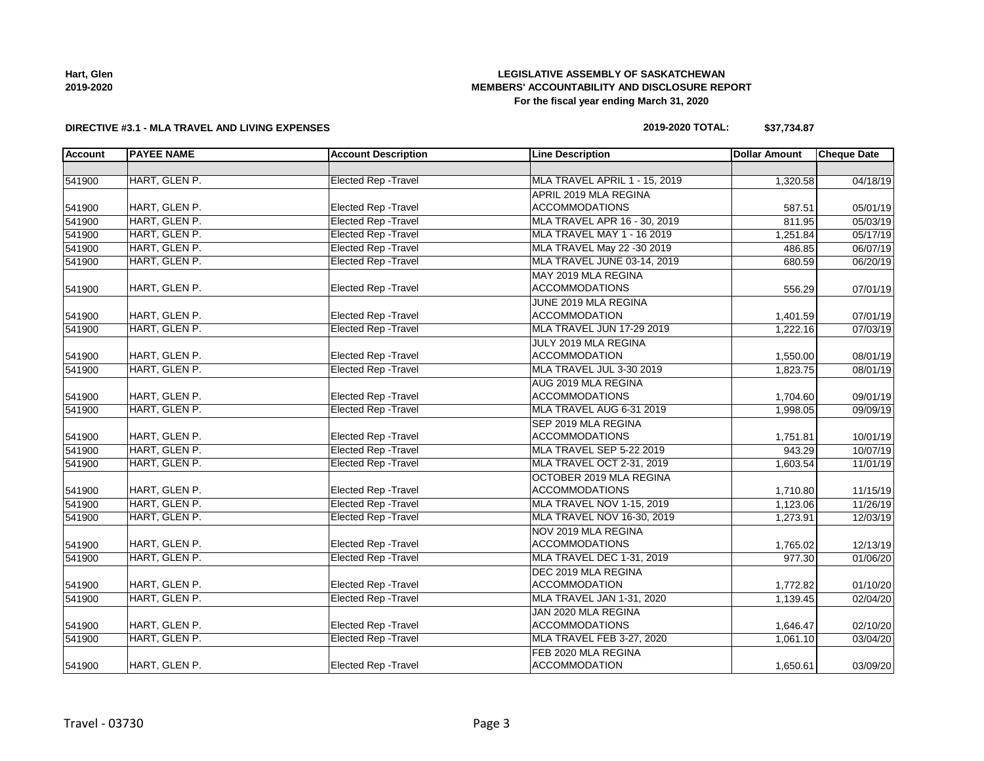| nart, Glen |  |
|------------|--|
| 2019-2020  |  |

# **LEGISLATIVE ASSEMBLY OF SASKATCHEWAN MEMBERS' ACCOUNTABILITY AND DISCLOSURE REPORT For the fiscal year ending March 31, 2020**

# **DIRECTIVE #3.1 - MLA TRAVEL AND LIVING EXPENSES**

# **2019-2020 TOTAL: \$37,734.87**

| <b>Account</b> | <b>PAYEE NAME</b> | <b>Account Description</b>  | <b>Line Description</b>       | <b>Dollar Amount</b> | <b>Cheque Date</b> |
|----------------|-------------------|-----------------------------|-------------------------------|----------------------|--------------------|
|                |                   |                             |                               |                      |                    |
| 541900         | HART, GLEN P.     | <b>Elected Rep - Travel</b> | MLA TRAVEL APRIL 1 - 15, 2019 | 1,320.58             | 04/18/19           |
|                |                   |                             | APRIL 2019 MLA REGINA         |                      |                    |
| 541900         | HART, GLEN P.     | Elected Rep - Travel        | <b>ACCOMMODATIONS</b>         | 587.51               | 05/01/19           |
| 541900         | HART, GLEN P.     | <b>Elected Rep - Travel</b> | MLA TRAVEL APR 16 - 30, 2019  | 811.95               | 05/03/19           |
| 541900         | HART, GLEN P.     | <b>Elected Rep - Travel</b> | MLA TRAVEL MAY 1 - 16 2019    | 1,251.84             | 05/17/19           |
| 541900         | HART, GLEN P.     | <b>Elected Rep - Travel</b> | MLA TRAVEL May 22 -30 2019    | 486.85               | 06/07/19           |
| 541900         | HART, GLEN P.     | <b>Elected Rep - Travel</b> | MLA TRAVEL JUNE 03-14, 2019   | 680.59               | 06/20/19           |
|                |                   |                             | MAY 2019 MLA REGINA           |                      |                    |
| 541900         | HART, GLEN P.     | Elected Rep - Travel        | <b>ACCOMMODATIONS</b>         | 556.29               | 07/01/19           |
|                |                   |                             | JUNE 2019 MLA REGINA          |                      |                    |
| 541900         | HART, GLEN P.     | Elected Rep - Travel        | <b>ACCOMMODATION</b>          | 1,401.59             | 07/01/19           |
| 541900         | HART, GLEN P.     | <b>Elected Rep - Travel</b> | MLA TRAVEL JUN 17-29 2019     | 1,222.16             | 07/03/19           |
|                |                   |                             | JULY 2019 MLA REGINA          |                      |                    |
| 541900         | HART, GLEN P.     | Elected Rep - Travel        | <b>ACCOMMODATION</b>          | 1,550.00             | 08/01/19           |
| 541900         | HART, GLEN P.     | <b>Elected Rep - Travel</b> | MLA TRAVEL JUL 3-30 2019      | 1,823.75             | 08/01/19           |
|                |                   |                             | AUG 2019 MLA REGINA           |                      |                    |
| 541900         | HART, GLEN P.     | Elected Rep - Travel        | <b>ACCOMMODATIONS</b>         | 1,704.60             | 09/01/19           |
| 541900         | HART, GLEN P.     | Elected Rep - Travel        | MLA TRAVEL AUG 6-31 2019      | 1,998.05             | 09/09/19           |
|                |                   |                             | SEP 2019 MLA REGINA           |                      |                    |
| 541900         | HART, GLEN P.     | <b>Elected Rep - Travel</b> | <b>ACCOMMODATIONS</b>         | 1,751.81             | 10/01/19           |
| 541900         | HART, GLEN P.     | <b>Elected Rep - Travel</b> | MLA TRAVEL SEP 5-22 2019      | 943.29               | 10/07/19           |
| 541900         | HART, GLEN P.     | <b>Elected Rep - Travel</b> | MLA TRAVEL OCT 2-31, 2019     | 1,603.54             | 11/01/19           |
|                |                   |                             | OCTOBER 2019 MLA REGINA       |                      |                    |
| 541900         | HART, GLEN P.     | <b>Elected Rep - Travel</b> | <b>ACCOMMODATIONS</b>         | 1,710.80             | 11/15/19           |
| 541900         | HART, GLEN P.     | <b>Elected Rep - Travel</b> | MLA TRAVEL NOV 1-15, 2019     | 1,123.06             | 11/26/19           |
| 541900         | HART, GLEN P.     | <b>Elected Rep - Travel</b> | MLA TRAVEL NOV 16-30, 2019    | 1,273.91             | 12/03/19           |
|                |                   |                             | NOV 2019 MLA REGINA           |                      |                    |
| 541900         | HART, GLEN P.     | Elected Rep - Travel        | <b>ACCOMMODATIONS</b>         | 1,765.02             | 12/13/19           |
| 541900         | HART, GLEN P.     | <b>Elected Rep - Travel</b> | MLA TRAVEL DEC 1-31, 2019     | 977.30               | 01/06/20           |
|                |                   |                             | DEC 2019 MLA REGINA           |                      |                    |
| 541900         | HART, GLEN P.     | Elected Rep - Travel        | <b>ACCOMMODATION</b>          | 1,772.82             | 01/10/20           |
| 541900         | HART, GLEN P.     | <b>Elected Rep - Travel</b> | MLA TRAVEL JAN 1-31, 2020     | 1,139.45             | 02/04/20           |
|                |                   |                             | JAN 2020 MLA REGINA           |                      |                    |
| 541900         | HART, GLEN P.     | Elected Rep - Travel        | <b>ACCOMMODATIONS</b>         | 1,646.47             | 02/10/20           |
| 541900         | HART, GLEN P.     | <b>Elected Rep - Travel</b> | MLA TRAVEL FEB 3-27, 2020     | 1,061.10             | 03/04/20           |
|                |                   |                             | FEB 2020 MLA REGINA           |                      |                    |
| 541900         | HART, GLEN P.     | Elected Rep - Travel        | <b>ACCOMMODATION</b>          | 1,650.61             | 03/09/20           |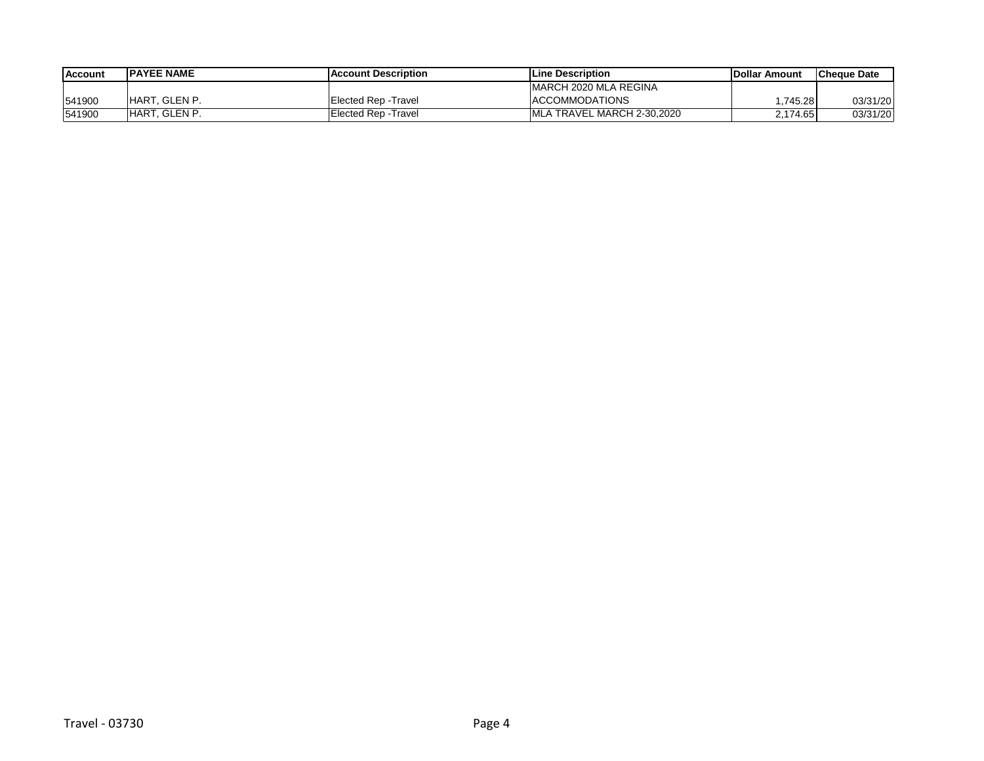| <b>Account</b> | <b>IPAYEE NAME</b>   | <b>IAccount Description</b> | <b>ILine Description</b>    | <b>IDollar Amount</b> | <b>ICheque Date</b> |
|----------------|----------------------|-----------------------------|-----------------------------|-----------------------|---------------------|
|                |                      |                             | IMARCH 2020 MLA REGINA      |                       |                     |
| 541900         | <b>HART. GLEN P.</b> | Elected Rep - Travel        | <b>ACCOMMODATIONS</b>       | .745.28               | 03/31/20            |
| 541900         | HART, GLEN P.        | Elected Rep -Travel         | IMLA TRAVEL MARCH 2-30.2020 | 2,174.65              | 03/31/20            |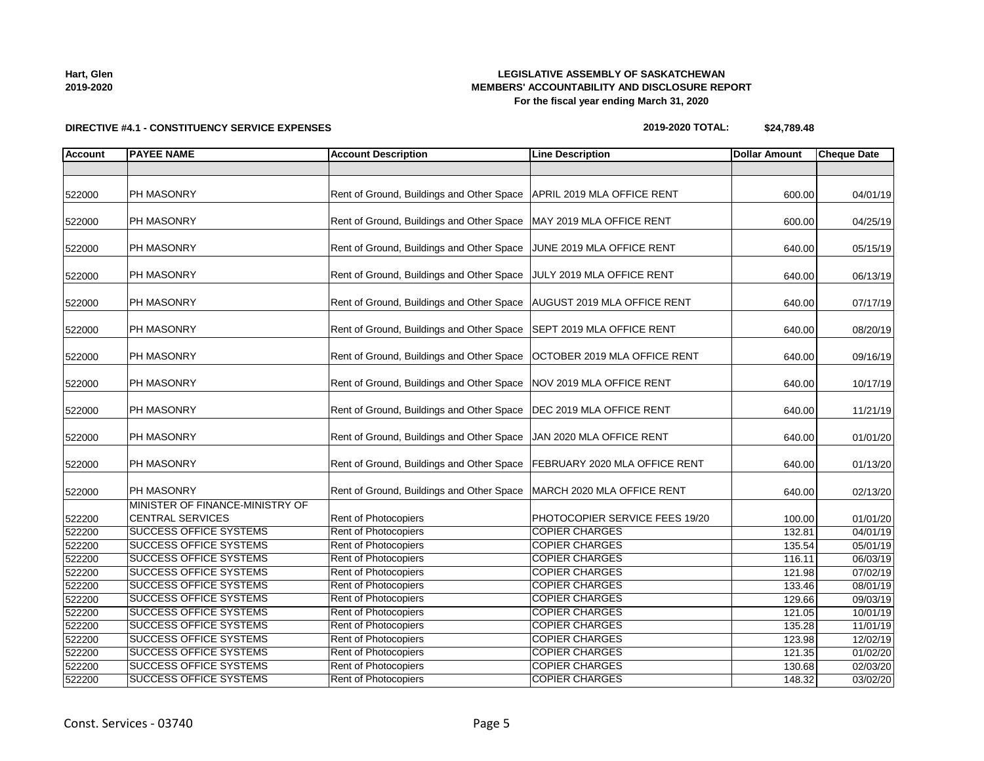### **LEGISLATIVE ASSEMBLY OF SASKATCHEWAN MEMBERS' ACCOUNTABILITY AND DISCLOSURE REPORT For the fiscal year ending March 31, 2020**

# **DIRECTIVE #4.1 - CONSTITUENCY SERVICE EXPENSES**

| <b>Account</b>   | <b>PAYEE NAME</b>                                              | <b>Account Description</b>                   | <b>Line Description</b>                        | <b>Dollar Amount</b> | <b>Cheque Date</b>   |
|------------------|----------------------------------------------------------------|----------------------------------------------|------------------------------------------------|----------------------|----------------------|
|                  |                                                                |                                              |                                                |                      |                      |
| 522000           | <b>PH MASONRY</b>                                              | Rent of Ground, Buildings and Other Space    | APRIL 2019 MLA OFFICE RENT                     | 600.00               | 04/01/19             |
| 522000           | PH MASONRY                                                     | Rent of Ground, Buildings and Other Space    | MAY 2019 MLA OFFICE RENT                       | 600.00               | 04/25/19             |
| 522000           | PH MASONRY                                                     | Rent of Ground, Buildings and Other Space    | JUNE 2019 MLA OFFICE RENT                      | 640.00               | 05/15/19             |
| 522000           | PH MASONRY                                                     | Rent of Ground, Buildings and Other Space    | JULY 2019 MLA OFFICE RENT                      | 640.00               | 06/13/19             |
| 522000           | PH MASONRY                                                     | Rent of Ground, Buildings and Other Space    | <b>AUGUST 2019 MLA OFFICE RENT</b>             | 640.00               | 07/17/19             |
| 522000           | PH MASONRY                                                     | Rent of Ground, Buildings and Other Space    | SEPT 2019 MLA OFFICE RENT                      | 640.00               | 08/20/19             |
| 522000           | PH MASONRY                                                     | Rent of Ground, Buildings and Other Space    | OCTOBER 2019 MLA OFFICE RENT                   | 640.00               | 09/16/19             |
| 522000           | <b>PH MASONRY</b>                                              | Rent of Ground, Buildings and Other Space    | NOV 2019 MLA OFFICE RENT                       | 640.00               | 10/17/19             |
| 522000           | PH MASONRY                                                     | Rent of Ground, Buildings and Other Space    | DEC 2019 MLA OFFICE RENT                       | 640.00               | 11/21/19             |
| 522000           | PH MASONRY                                                     | Rent of Ground, Buildings and Other Space    | JAN 2020 MLA OFFICE RENT                       | 640.00               | 01/01/20             |
| 522000           | PH MASONRY                                                     | Rent of Ground, Buildings and Other Space    | FEBRUARY 2020 MLA OFFICE RENT                  | 640.00               | 01/13/20             |
| 522000           | PH MASONRY                                                     | Rent of Ground, Buildings and Other Space    | MARCH 2020 MLA OFFICE RENT                     | 640.00               | 02/13/20             |
| 522200           | MINISTER OF FINANCE-MINISTRY OF<br><b>CENTRAL SERVICES</b>     | <b>Rent of Photocopiers</b>                  | PHOTOCOPIER SERVICE FEES 19/20                 | 100.00               | 01/01/20             |
| 522200           | <b>SUCCESS OFFICE SYSTEMS</b>                                  | <b>Rent of Photocopiers</b>                  | <b>COPIER CHARGES</b>                          | 132.81               | 04/01/19             |
| 522200           | <b>SUCCESS OFFICE SYSTEMS</b>                                  | <b>Rent of Photocopiers</b>                  | <b>COPIER CHARGES</b>                          | 135.54               | 05/01/19             |
| 522200           | <b>SUCCESS OFFICE SYSTEMS</b><br><b>SUCCESS OFFICE SYSTEMS</b> | Rent of Photocopiers<br>Rent of Photocopiers | <b>COPIER CHARGES</b><br><b>COPIER CHARGES</b> | 116.11               | 06/03/19             |
| 522200           | <b>SUCCESS OFFICE SYSTEMS</b>                                  | <b>Rent of Photocopiers</b>                  | <b>COPIER CHARGES</b>                          | 121.98               | 07/02/19             |
| 522200           | <b>SUCCESS OFFICE SYSTEMS</b>                                  | <b>Rent of Photocopiers</b>                  | <b>COPIER CHARGES</b>                          | 133.46               | 08/01/19             |
| 522200           | <b>SUCCESS OFFICE SYSTEMS</b>                                  | Rent of Photocopiers                         | <b>COPIER CHARGES</b>                          | 129.66               | 09/03/19             |
| 522200<br>522200 | <b>SUCCESS OFFICE SYSTEMS</b>                                  | Rent of Photocopiers                         | <b>COPIER CHARGES</b>                          | 121.05<br>135.28     | 10/01/19             |
| 522200           | <b>SUCCESS OFFICE SYSTEMS</b>                                  | <b>Rent of Photocopiers</b>                  | <b>COPIER CHARGES</b>                          | 123.98               | 11/01/19<br>12/02/19 |
| 522200           | SUCCESS OFFICE SYSTEMS                                         | <b>Rent of Photocopiers</b>                  | <b>COPIER CHARGES</b>                          | 121.35               | 01/02/20             |
|                  |                                                                |                                              |                                                |                      |                      |

**2019-2020 TOTAL: \$24,789.48**

**Hart, Glen 2019-2020**

522200 SUCCESS OFFICE SYSTEMS Rent of Photocopiers COPIER CHARGES 130.68 02/03/20 522200 SUCCESS OFFICE SYSTEMS Rent of Photocopiers COPIER CHARGES 148.32 03/02/20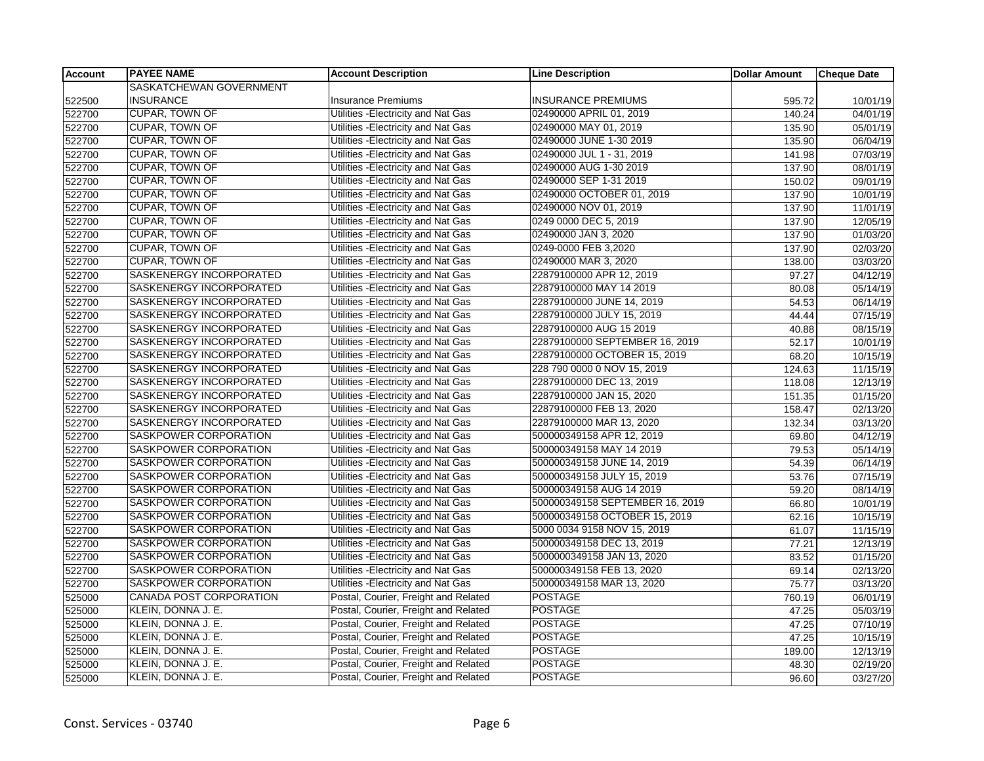| <b>Account</b> | <b>PAYEE NAME</b>              | <b>Account Description</b>           | <b>Line Description</b>         | <b>Dollar Amount</b> | <b>Cheque Date</b> |
|----------------|--------------------------------|--------------------------------------|---------------------------------|----------------------|--------------------|
|                | SASKATCHEWAN GOVERNMENT        |                                      |                                 |                      |                    |
| 522500         | <b>INSURANCE</b>               | <b>Insurance Premiums</b>            | <b>INSURANCE PREMIUMS</b>       | 595.72               | 10/01/19           |
| 522700         | <b>CUPAR, TOWN OF</b>          | Utilities - Electricity and Nat Gas  | 02490000 APRIL 01, 2019         | 140.24               | 04/01/19           |
| 522700         | <b>CUPAR, TOWN OF</b>          | Utilities -Electricity and Nat Gas   | 02490000 MAY 01, 2019           | 135.90               | 05/01/19           |
| 522700         | <b>CUPAR, TOWN OF</b>          | Utilities - Electricity and Nat Gas  | 02490000 JUNE 1-30 2019         | 135.90               | 06/04/19           |
| 522700         | <b>CUPAR, TOWN OF</b>          | Utilities - Electricity and Nat Gas  | 02490000 JUL 1 - 31, 2019       | 141.98               | 07/03/19           |
| 522700         | <b>CUPAR, TOWN OF</b>          | Utilities - Electricity and Nat Gas  | 02490000 AUG 1-30 2019          | 137.90               | 08/01/19           |
| 522700         | <b>CUPAR, TOWN OF</b>          | Utilities - Electricity and Nat Gas  | 02490000 SEP 1-31 2019          | 150.02               | 09/01/19           |
| 522700         | <b>CUPAR, TOWN OF</b>          | Utilities - Electricity and Nat Gas  | 02490000 OCTOBER 01, 2019       | 137.90               | 10/01/19           |
| 522700         | <b>CUPAR, TOWN OF</b>          | Utilities - Electricity and Nat Gas  | 02490000 NOV 01, 2019           | 137.90               | 11/01/19           |
| 522700         | <b>CUPAR, TOWN OF</b>          | Utilities - Electricity and Nat Gas  | 0249 0000 DEC 5, 2019           | 137.90               | 12/05/19           |
| 522700         | <b>CUPAR, TOWN OF</b>          | Utilities - Electricity and Nat Gas  | 02490000 JAN 3, 2020            | 137.90               | 01/03/20           |
| 522700         | <b>CUPAR, TOWN OF</b>          | Utilities - Electricity and Nat Gas  | 0249-0000 FEB 3,2020            | 137.90               | 02/03/20           |
| 522700         | CUPAR, TOWN OF                 | Utilities - Electricity and Nat Gas  | 02490000 MAR 3, 2020            | 138.00               | 03/03/20           |
| 522700         | SASKENERGY INCORPORATED        | Utilities - Electricity and Nat Gas  | 22879100000 APR 12, 2019        | 97.27                | 04/12/19           |
| 522700         | SASKENERGY INCORPORATED        | Utilities - Electricity and Nat Gas  | 22879100000 MAY 14 2019         | 80.08                | 05/14/19           |
| 522700         | SASKENERGY INCORPORATED        | Utilities - Electricity and Nat Gas  | 22879100000 JUNE 14, 2019       | 54.53                | 06/14/19           |
| 522700         | SASKENERGY INCORPORATED        | Utilities - Electricity and Nat Gas  | 22879100000 JULY 15, 2019       | 44.44                | 07/15/19           |
| 522700         | SASKENERGY INCORPORATED        | Utilities - Electricity and Nat Gas  | 22879100000 AUG 15 2019         | 40.88                | 08/15/19           |
| 522700         | SASKENERGY INCORPORATED        | Utilities - Electricity and Nat Gas  | 22879100000 SEPTEMBER 16, 2019  | 52.17                | 10/01/19           |
| 522700         | SASKENERGY INCORPORATED        | Utilities - Electricity and Nat Gas  | 22879100000 OCTOBER 15, 2019    | 68.20                | 10/15/19           |
| 522700         | SASKENERGY INCORPORATED        | Utilities - Electricity and Nat Gas  | 228 790 0000 0 NOV 15, 2019     | 124.63               | 11/15/19           |
| 522700         | SASKENERGY INCORPORATED        | Utilities - Electricity and Nat Gas  | 22879100000 DEC 13, 2019        | 118.08               | 12/13/19           |
| 522700         | SASKENERGY INCORPORATED        | Utilities - Electricity and Nat Gas  | 22879100000 JAN 15, 2020        | 151.35               | 01/15/20           |
| 522700         | SASKENERGY INCORPORATED        | Utilities - Electricity and Nat Gas  | 22879100000 FEB 13, 2020        | 158.47               | 02/13/20           |
| 522700         | <b>SASKENERGY INCORPORATED</b> | Utilities - Electricity and Nat Gas  | 22879100000 MAR 13, 2020        | 132.34               | 03/13/20           |
| 522700         | SASKPOWER CORPORATION          | Utilities - Electricity and Nat Gas  | 500000349158 APR 12, 2019       | 69.80                | 04/12/19           |
| 522700         | SASKPOWER CORPORATION          | Utilities - Electricity and Nat Gas  | 500000349158 MAY 14 2019        | 79.53                | 05/14/19           |
| 522700         | SASKPOWER CORPORATION          | Utilities - Electricity and Nat Gas  | 500000349158 JUNE 14, 2019      | 54.39                | 06/14/19           |
| 522700         | SASKPOWER CORPORATION          | Utilities - Electricity and Nat Gas  | 500000349158 JULY 15, 2019      | 53.76                | 07/15/19           |
| 522700         | SASKPOWER CORPORATION          | Utilities - Electricity and Nat Gas  | 500000349158 AUG 14 2019        | 59.20                | 08/14/19           |
| 522700         | SASKPOWER CORPORATION          | Utilities - Electricity and Nat Gas  | 500000349158 SEPTEMBER 16, 2019 | 66.80                | 10/01/19           |
| 522700         | SASKPOWER CORPORATION          | Utilities - Electricity and Nat Gas  | 500000349158 OCTOBER 15, 2019   | 62.16                | 10/15/19           |
| 522700         | SASKPOWER CORPORATION          | Utilities - Electricity and Nat Gas  | 5000 0034 9158 NOV 15, 2019     | 61.07                | 11/15/19           |
| 522700         | SASKPOWER CORPORATION          | Utilities - Electricity and Nat Gas  | 500000349158 DEC 13, 2019       | 77.21                | 12/13/19           |
| 522700         | SASKPOWER CORPORATION          | Utilities - Electricity and Nat Gas  | 5000000349158 JAN 13, 2020      | 83.52                | 01/15/20           |
| 522700         | SASKPOWER CORPORATION          | Utilities - Electricity and Nat Gas  | 500000349158 FEB 13, 2020       | 69.14                | 02/13/20           |
| 522700         | <b>SASKPOWER CORPORATION</b>   | Utilities - Electricity and Nat Gas  | 500000349158 MAR 13, 2020       | 75.77                | 03/13/20           |
| 525000         | CANADA POST CORPORATION        | Postal, Courier, Freight and Related | <b>POSTAGE</b>                  | 760.19               | 06/01/19           |
| 525000         | KLEIN, DONNA J. E.             | Postal, Courier, Freight and Related | <b>POSTAGE</b>                  | 47.25                | 05/03/19           |
| 525000         | KLEIN, DONNA J. E.             | Postal, Courier, Freight and Related | <b>POSTAGE</b>                  | 47.25                | 07/10/19           |
| 525000         | KLEIN, DONNA J. E.             | Postal, Courier, Freight and Related | <b>POSTAGE</b>                  | 47.25                | 10/15/19           |
| 525000         | KLEIN, DONNA J. E.             | Postal, Courier, Freight and Related | <b>POSTAGE</b>                  | 189.00               | 12/13/19           |
| 525000         | KLEIN, DONNA J. E.             | Postal, Courier, Freight and Related | <b>POSTAGE</b>                  | 48.30                | 02/19/20           |
| 525000         | KLEIN, DONNA J. E.             | Postal, Courier, Freight and Related | <b>POSTAGE</b>                  | 96.60                | 03/27/20           |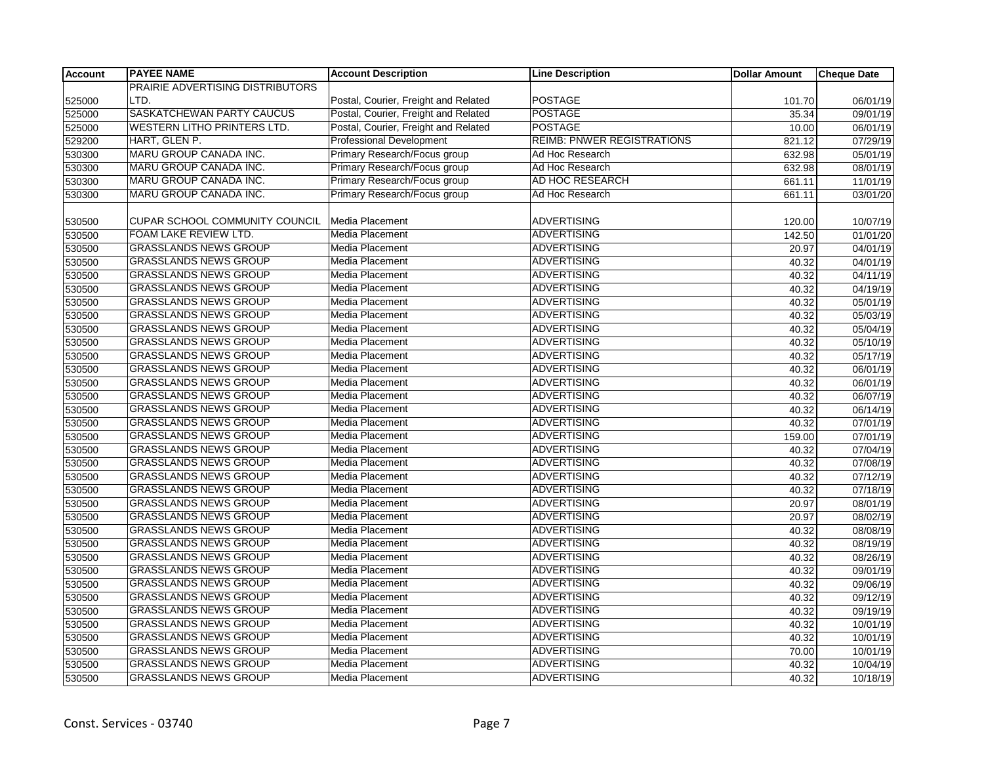| <b>Account</b> | <b>PAYEE NAME</b>                     | <b>Account Description</b>           | <b>Line Description</b>           | <b>Dollar Amount</b> | <b>Cheque Date</b> |
|----------------|---------------------------------------|--------------------------------------|-----------------------------------|----------------------|--------------------|
|                | PRAIRIE ADVERTISING DISTRIBUTORS      |                                      |                                   |                      |                    |
| 525000         | LTD.                                  | Postal, Courier, Freight and Related | <b>POSTAGE</b>                    | 101.70               | 06/01/19           |
| 525000         | <b>SASKATCHEWAN PARTY CAUCUS</b>      | Postal, Courier, Freight and Related | <b>POSTAGE</b>                    | 35.34                | 09/01/19           |
| 525000         | <b>WESTERN LITHO PRINTERS LTD.</b>    | Postal, Courier, Freight and Related | <b>POSTAGE</b>                    | 10.00                | 06/01/19           |
| 529200         | HART, GLEN P.                         | <b>Professional Development</b>      | <b>REIMB: PNWER REGISTRATIONS</b> | 821.12               | 07/29/19           |
| 530300         | MARU GROUP CANADA INC.                | Primary Research/Focus group         | Ad Hoc Research                   | 632.98               | 05/01/19           |
| 530300         | <b>MARU GROUP CANADA INC.</b>         | Primary Research/Focus group         | Ad Hoc Research                   | 632.98               | 08/01/19           |
| 530300         | <b>MARU GROUP CANADA INC.</b>         | Primary Research/Focus group         | AD HOC RESEARCH                   | 661.11               | 11/01/19           |
| 530300         | <b>MARU GROUP CANADA INC.</b>         | Primary Research/Focus group         | Ad Hoc Research                   | 661.11               | 03/01/20           |
|                |                                       |                                      |                                   |                      |                    |
| 530500         | <b>CUPAR SCHOOL COMMUNITY COUNCIL</b> | Media Placement                      | <b>ADVERTISING</b>                | 120.00               | 10/07/19           |
| 530500         | FOAM LAKE REVIEW LTD.                 | Media Placement                      | <b>ADVERTISING</b>                | 142.50               | 01/01/20           |
| 530500         | <b>GRASSLANDS NEWS GROUP</b>          | Media Placement                      | <b>ADVERTISING</b>                | 20.97                | 04/01/19           |
| 530500         | <b>GRASSLANDS NEWS GROUP</b>          | Media Placement                      | <b>ADVERTISING</b>                | 40.32                | 04/01/19           |
| 530500         | <b>GRASSLANDS NEWS GROUP</b>          | <b>Media Placement</b>               | <b>ADVERTISING</b>                | 40.32                | 04/11/19           |
| 530500         | <b>GRASSLANDS NEWS GROUP</b>          | <b>Media Placement</b>               | <b>ADVERTISING</b>                | 40.32                | 04/19/19           |
| 530500         | <b>GRASSLANDS NEWS GROUP</b>          | Media Placement                      | <b>ADVERTISING</b>                | 40.32                | 05/01/19           |
| 530500         | <b>GRASSLANDS NEWS GROUP</b>          | Media Placement                      | <b>ADVERTISING</b>                | 40.32                | 05/03/19           |
| 530500         | <b>GRASSLANDS NEWS GROUP</b>          | Media Placement                      | <b>ADVERTISING</b>                | 40.32                | 05/04/19           |
| 530500         | <b>GRASSLANDS NEWS GROUP</b>          | Media Placement                      | <b>ADVERTISING</b>                | 40.32                | 05/10/19           |
| 530500         | <b>GRASSLANDS NEWS GROUP</b>          | <b>Media Placement</b>               | <b>ADVERTISING</b>                | 40.32                | 05/17/19           |
| 530500         | <b>GRASSLANDS NEWS GROUP</b>          | <b>Media Placement</b>               | <b>ADVERTISING</b>                | 40.32                | 06/01/19           |
| 530500         | <b>GRASSLANDS NEWS GROUP</b>          | Media Placement                      | <b>ADVERTISING</b>                | 40.32                | 06/01/19           |
| 530500         | <b>GRASSLANDS NEWS GROUP</b>          | Media Placement                      | <b>ADVERTISING</b>                | 40.32                | 06/07/19           |
| 530500         | <b>GRASSLANDS NEWS GROUP</b>          | Media Placement                      | ADVERTISING                       | 40.32                | 06/14/19           |
| 530500         | <b>GRASSLANDS NEWS GROUP</b>          | Media Placement                      | <b>ADVERTISING</b>                | 40.32                | 07/01/19           |
| 530500         | <b>GRASSLANDS NEWS GROUP</b>          | <b>Media Placement</b>               | <b>ADVERTISING</b>                | 159.00               | 07/01/19           |
| 530500         | <b>GRASSLANDS NEWS GROUP</b>          | Media Placement                      | <b>ADVERTISING</b>                | 40.32                | 07/04/19           |
| 530500         | <b>GRASSLANDS NEWS GROUP</b>          | Media Placement                      | <b>ADVERTISING</b>                | 40.32                | 07/08/19           |
| 530500         | <b>GRASSLANDS NEWS GROUP</b>          | Media Placement                      | <b>ADVERTISING</b>                | 40.32                | 07/12/19           |
| 530500         | <b>GRASSLANDS NEWS GROUP</b>          | <b>Media Placement</b>               | <b>ADVERTISING</b>                | 40.32                | 07/18/19           |
| 530500         | <b>GRASSLANDS NEWS GROUP</b>          | <b>Media Placement</b>               | <b>ADVERTISING</b>                | 20.97                | 08/01/19           |
| 530500         | <b>GRASSLANDS NEWS GROUP</b>          | <b>Media Placement</b>               | <b>ADVERTISING</b>                | 20.97                | 08/02/19           |
| 530500         | <b>GRASSLANDS NEWS GROUP</b>          | Media Placement                      | <b>ADVERTISING</b>                | 40.32                | 08/08/19           |
| 530500         | <b>GRASSLANDS NEWS GROUP</b>          | Media Placement                      | <b>ADVERTISING</b>                | 40.32                | 08/19/19           |
| 530500         | <b>GRASSLANDS NEWS GROUP</b>          | Media Placement                      | <b>ADVERTISING</b>                | 40.32                | 08/26/19           |
| 530500         | <b>GRASSLANDS NEWS GROUP</b>          | Media Placement                      | <b>ADVERTISING</b>                | 40.32                | 09/01/19           |
| 530500         | <b>GRASSLANDS NEWS GROUP</b>          | <b>Media Placement</b>               | <b>ADVERTISING</b>                | 40.32                | 09/06/19           |
| 530500         | <b>GRASSLANDS NEWS GROUP</b>          | <b>Media Placement</b>               | <b>ADVERTISING</b>                | 40.32                | 09/12/19           |
| 530500         | <b>GRASSLANDS NEWS GROUP</b>          | Media Placement                      | <b>ADVERTISING</b>                | 40.32                | 09/19/19           |
| 530500         | <b>GRASSLANDS NEWS GROUP</b>          | Media Placement                      | <b>ADVERTISING</b>                | 40.32                | 10/01/19           |
| 530500         | <b>GRASSLANDS NEWS GROUP</b>          | Media Placement                      | <b>ADVERTISING</b>                | 40.32                | 10/01/19           |
| 530500         | <b>GRASSLANDS NEWS GROUP</b>          | Media Placement                      | <b>ADVERTISING</b>                | 70.00                | 10/01/19           |
| 530500         | <b>GRASSLANDS NEWS GROUP</b>          | Media Placement                      | <b>ADVERTISING</b>                | 40.32                | 10/04/19           |
| 530500         | <b>GRASSLANDS NEWS GROUP</b>          | Media Placement                      | <b>ADVERTISING</b>                | 40.32                | 10/18/19           |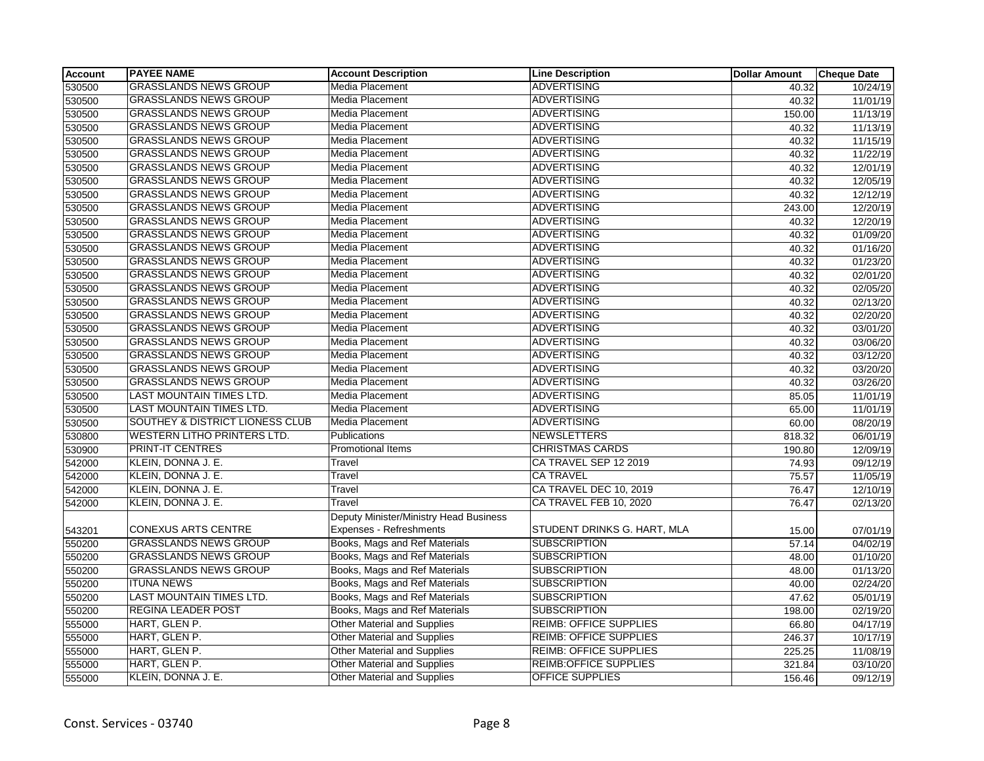| <b>Account</b> | <b>PAYEE NAME</b>                  | <b>Account Description</b>             | <b>Line Description</b>       | <b>Dollar Amount</b> | <b>Cheque Date</b>    |
|----------------|------------------------------------|----------------------------------------|-------------------------------|----------------------|-----------------------|
| 530500         | <b>GRASSLANDS NEWS GROUP</b>       | Media Placement                        | <b>ADVERTISING</b>            | 40.32                | 10/24/19              |
| 530500         | <b>GRASSLANDS NEWS GROUP</b>       | Media Placement                        | <b>ADVERTISING</b>            | 40.32                | 11/01/19              |
| 530500         | <b>GRASSLANDS NEWS GROUP</b>       | <b>Media Placement</b>                 | <b>ADVERTISING</b>            | 150.00               | 11/13/19              |
| 530500         | <b>GRASSLANDS NEWS GROUP</b>       | Media Placement                        | <b>ADVERTISING</b>            | 40.32                | 11/13/19              |
| 530500         | <b>GRASSLANDS NEWS GROUP</b>       | Media Placement                        | <b>ADVERTISING</b>            | 40.32                | 11/15/19              |
| 530500         | <b>GRASSLANDS NEWS GROUP</b>       | Media Placement                        | <b>ADVERTISING</b>            | 40.32                | 11/22/19              |
| 530500         | <b>GRASSLANDS NEWS GROUP</b>       | Media Placement                        | <b>ADVERTISING</b>            | 40.32                | 12/01/19              |
| 530500         | <b>GRASSLANDS NEWS GROUP</b>       | <b>Media Placement</b>                 | <b>ADVERTISING</b>            | 40.32                | 12/05/19              |
| 530500         | <b>GRASSLANDS NEWS GROUP</b>       | Media Placement                        | <b>ADVERTISING</b>            | 40.32                | 12/12/19              |
| 530500         | <b>GRASSLANDS NEWS GROUP</b>       | Media Placement                        | <b>ADVERTISING</b>            | 243.00               | 12/20/19              |
| 530500         | <b>GRASSLANDS NEWS GROUP</b>       | Media Placement                        | <b>ADVERTISING</b>            | 40.32                | 12/20/19              |
| 530500         | <b>GRASSLANDS NEWS GROUP</b>       | Media Placement                        | <b>ADVERTISING</b>            | 40.32                | 01/09/20              |
| 530500         | <b>GRASSLANDS NEWS GROUP</b>       | <b>Media Placement</b>                 | <b>ADVERTISING</b>            | 40.32                | 01/16/20              |
| 530500         | <b>GRASSLANDS NEWS GROUP</b>       | Media Placement                        | <b>ADVERTISING</b>            | 40.32                | 01/23/20              |
| 530500         | <b>GRASSLANDS NEWS GROUP</b>       | <b>Media Placement</b>                 | <b>ADVERTISING</b>            | 40.32                | 02/01/20              |
| 530500         | <b>GRASSLANDS NEWS GROUP</b>       | Media Placement                        | <b>ADVERTISING</b>            | 40.32                | 02/05/20              |
| 530500         | <b>GRASSLANDS NEWS GROUP</b>       | Media Placement                        | <b>ADVERTISING</b>            | 40.32                | 02/13/20              |
| 530500         | <b>GRASSLANDS NEWS GROUP</b>       | <b>Media Placement</b>                 | <b>ADVERTISING</b>            | 40.32                | 02/20/20              |
| 530500         | <b>GRASSLANDS NEWS GROUP</b>       | Media Placement                        | <b>ADVERTISING</b>            | 40.32                | 03/01/20              |
| 530500         | <b>GRASSLANDS NEWS GROUP</b>       | Media Placement                        | <b>ADVERTISING</b>            | 40.32                | 03/06/20              |
| 530500         | <b>GRASSLANDS NEWS GROUP</b>       | <b>Media Placement</b>                 | <b>ADVERTISING</b>            | 40.32                | 03/12/20              |
| 530500         | <b>GRASSLANDS NEWS GROUP</b>       | Media Placement                        | <b>ADVERTISING</b>            | 40.32                | 03/20/20              |
| 530500         | <b>GRASSLANDS NEWS GROUP</b>       | <b>Media Placement</b>                 | <b>ADVERTISING</b>            | 40.32                | 03/26/20              |
| 530500         | LAST MOUNTAIN TIMES LTD.           | Media Placement                        | <b>ADVERTISING</b>            | 85.05                | 11/01/19              |
| 530500         | LAST MOUNTAIN TIMES LTD.           | Media Placement                        | <b>ADVERTISING</b>            | 65.00                | 11/01/19              |
| 530500         | SOUTHEY & DISTRICT LIONESS CLUB    | <b>Media Placement</b>                 | <b>ADVERTISING</b>            | 60.00                | 08/20/19              |
| 530800         | <b>WESTERN LITHO PRINTERS LTD.</b> | Publications                           | <b>NEWSLETTERS</b>            | 818.32               | 06/01/19              |
| 530900         | <b>PRINT-IT CENTRES</b>            | <b>Promotional Items</b>               | <b>CHRISTMAS CARDS</b>        | 190.80               | 12/09/19              |
| 542000         | KLEIN, DONNA J. E.                 | Travel                                 | CA TRAVEL SEP 12 2019         | 74.93                | 09/12/19              |
| 542000         | KLEIN, DONNA J. E.                 | Travel                                 | <b>CA TRAVEL</b>              | 75.57                | 11/05/19              |
| 542000         | KLEIN, DONNA J. E.                 | Travel                                 | CA TRAVEL DEC 10, 2019        | 76.47                | 12/10/19              |
| 542000         | KLEIN, DONNA J. E.                 | Travel                                 | CA TRAVEL FEB 10, 2020        | 76.47                | 02/13/20              |
|                |                                    | Deputy Minister/Ministry Head Business |                               |                      |                       |
| 543201         | <b>CONEXUS ARTS CENTRE</b>         | <b>Expenses - Refreshments</b>         | STUDENT DRINKS G. HART, MLA   | 15.00                | 07/01/19              |
| 550200         | <b>GRASSLANDS NEWS GROUP</b>       | Books, Mags and Ref Materials          | <b>SUBSCRIPTION</b>           | 57.14                | $\overline{04/02/19}$ |
| 550200         | <b>GRASSLANDS NEWS GROUP</b>       | Books, Mags and Ref Materials          | <b>SUBSCRIPTION</b>           | 48.00                | 01/10/20              |
| 550200         | <b>GRASSLANDS NEWS GROUP</b>       | Books, Mags and Ref Materials          | <b>SUBSCRIPTION</b>           | 48.00                | 01/13/20              |
| 550200         | <b>ITUNA NEWS</b>                  | Books, Mags and Ref Materials          | <b>SUBSCRIPTION</b>           | 40.00                | 02/24/20              |
| 550200         | LAST MOUNTAIN TIMES LTD.           | Books, Mags and Ref Materials          | <b>SUBSCRIPTION</b>           | 47.62                | 05/01/19              |
| 550200         | <b>REGINA LEADER POST</b>          | Books, Mags and Ref Materials          | <b>SUBSCRIPTION</b>           | 198.00               | 02/19/20              |
| 555000         | HART, GLEN P.                      | <b>Other Material and Supplies</b>     | <b>REIMB: OFFICE SUPPLIES</b> | 66.80                | 04/17/19              |
| 555000         | HART, GLEN P.                      | <b>Other Material and Supplies</b>     | <b>REIMB: OFFICE SUPPLIES</b> | 246.37               | 10/17/19              |
| 555000         | HART, GLEN P.                      | <b>Other Material and Supplies</b>     | <b>REIMB: OFFICE SUPPLIES</b> | 225.25               | 11/08/19              |
| 555000         | HART, GLEN P.                      | Other Material and Supplies            | REIMB: OFFICE SUPPLIES        | 321.84               | 03/10/20              |
| 555000         | KLEIN, DONNA J. E.                 | <b>Other Material and Supplies</b>     | <b>OFFICE SUPPLIES</b>        | 156.46               | 09/12/19              |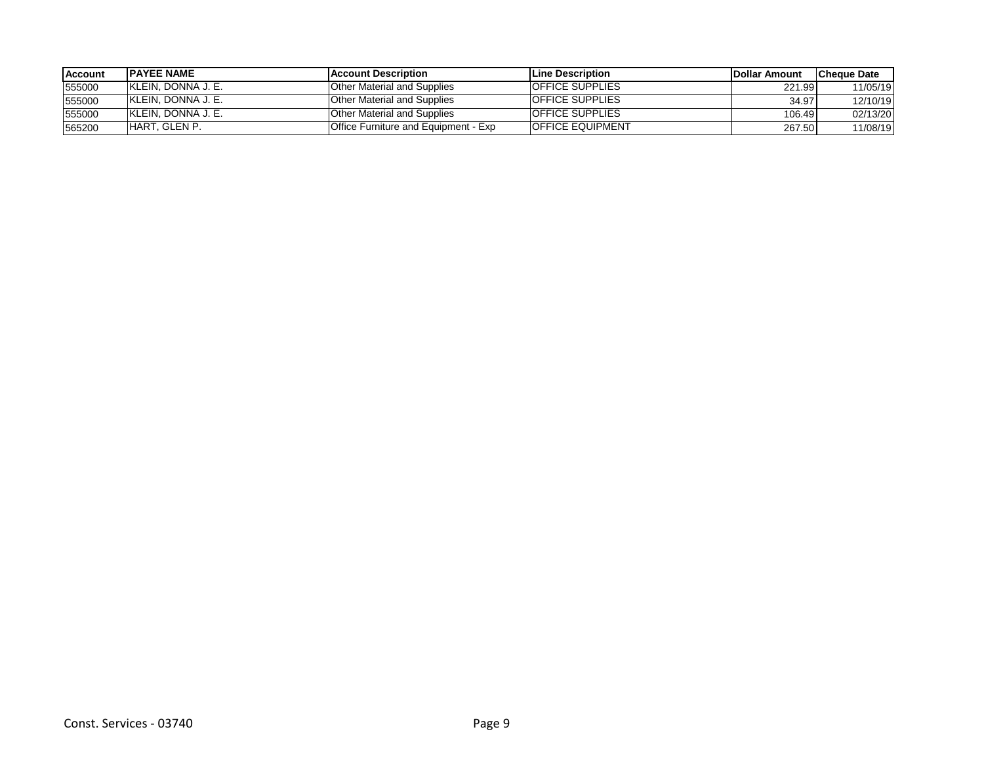| <b>Account</b> | <b>IPAYEE NAME</b>  | <b>IAccount Description</b>          | <b>ILine Description</b> | <b>IDollar Amount</b> | lCheque Date |
|----------------|---------------------|--------------------------------------|--------------------------|-----------------------|--------------|
| 555000         | IKLEIN. DONNA J. E. | <b>Other Material and Supplies</b>   | <b>OFFICE SUPPLIES</b>   | 221.99                | 11/05/19     |
| 555000         | IKLEIN. DONNA J. E. | <b>Other Material and Supplies</b>   | <b>OFFICE SUPPLIES</b>   | 34.97                 | 12/10/19     |
| 555000         | IKLEIN. DONNA J. E. | Other Material and Supplies          | <b>OFFICE SUPPLIES</b>   | 106.49                | 02/13/20     |
| 565200         | HART, GLEN P.       | Office Furniture and Equipment - Exp | <b>OFFICE EQUIPMENT</b>  | 267.50                | 11/08/19     |